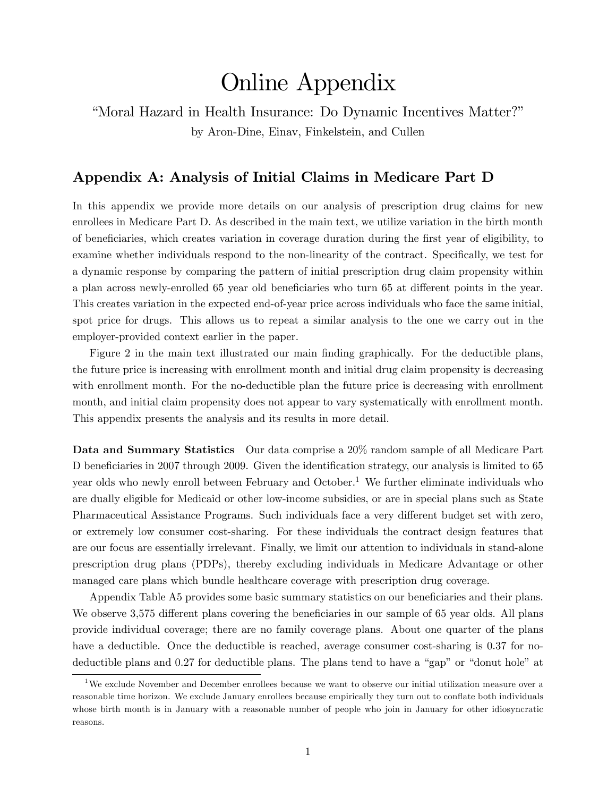# Online Appendix

"Moral Hazard in Health Insurance: Do Dynamic Incentives Matter?" by Aron-Dine, Einav, Finkelstein, and Cullen

## Appendix A: Analysis of Initial Claims in Medicare Part D

In this appendix we provide more details on our analysis of prescription drug claims for new enrollees in Medicare Part D. As described in the main text, we utilize variation in the birth month of beneficiaries, which creates variation in coverage duration during the first year of eligibility, to examine whether individuals respond to the non-linearity of the contract. Specifically, we test for a dynamic response by comparing the pattern of initial prescription drug claim propensity within a plan across newly-enrolled 65 year old beneficiaries who turn 65 at different points in the year. This creates variation in the expected end-of-year price across individuals who face the same initial, spot price for drugs. This allows us to repeat a similar analysis to the one we carry out in the employer-provided context earlier in the paper.

Figure 2 in the main text illustrated our main finding graphically. For the deductible plans, the future price is increasing with enrollment month and initial drug claim propensity is decreasing with enrollment month. For the no-deductible plan the future price is decreasing with enrollment month, and initial claim propensity does not appear to vary systematically with enrollment month. This appendix presents the analysis and its results in more detail.

Data and Summary Statistics Our data comprise a 20% random sample of all Medicare Part D beneficiaries in 2007 through 2009. Given the identification strategy, our analysis is limited to 65 year olds who newly enroll between February and October.<sup>1</sup> We further eliminate individuals who are dually eligible for Medicaid or other low-income subsidies, or are in special plans such as State Pharmaceutical Assistance Programs. Such individuals face a very different budget set with zero, or extremely low consumer cost-sharing. For these individuals the contract design features that are our focus are essentially irrelevant. Finally, we limit our attention to individuals in stand-alone prescription drug plans (PDPs), thereby excluding individuals in Medicare Advantage or other managed care plans which bundle healthcare coverage with prescription drug coverage.

Appendix Table A5 provides some basic summary statistics on our beneficiaries and their plans. We observe 3,575 different plans covering the beneficiaries in our sample of 65 year olds. All plans provide individual coverage; there are no family coverage plans. About one quarter of the plans have a deductible. Once the deductible is reached, average consumer cost-sharing is 0.37 for nodeductible plans and  $0.27$  for deductible plans. The plans tend to have a "gap" or "donut hole" at

<sup>1</sup>We exclude November and December enrollees because we want to observe our initial utilization measure over a reasonable time horizon. We exclude January enrollees because empirically they turn out to conáate both individuals whose birth month is in January with a reasonable number of people who join in January for other idiosyncratic reasons.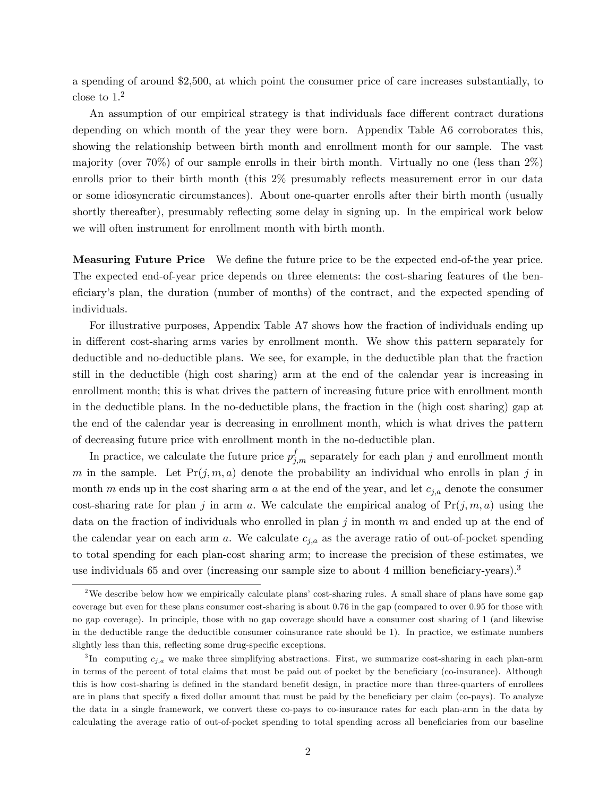a spending of around \$2,500, at which point the consumer price of care increases substantially, to close to 1.<sup>2</sup>

An assumption of our empirical strategy is that individuals face different contract durations depending on which month of the year they were born. Appendix Table A6 corroborates this, showing the relationship between birth month and enrollment month for our sample. The vast majority (over 70%) of our sample enrolls in their birth month. Virtually no one (less than  $2\%$ ) enrolls prior to their birth month (this 2% presumably reflects measurement error in our data or some idiosyncratic circumstances). About one-quarter enrolls after their birth month (usually shortly thereafter), presumably reflecting some delay in signing up. In the empirical work below we will often instrument for enrollment month with birth month.

Measuring Future Price We define the future price to be the expected end-of-the year price. The expected end-of-year price depends on three elements: the cost-sharing features of the beneficiary's plan, the duration (number of months) of the contract, and the expected spending of individuals.

For illustrative purposes, Appendix Table A7 shows how the fraction of individuals ending up in different cost-sharing arms varies by enrollment month. We show this pattern separately for deductible and no-deductible plans. We see, for example, in the deductible plan that the fraction still in the deductible (high cost sharing) arm at the end of the calendar year is increasing in enrollment month; this is what drives the pattern of increasing future price with enrollment month in the deductible plans. In the no-deductible plans, the fraction in the (high cost sharing) gap at the end of the calendar year is decreasing in enrollment month, which is what drives the pattern of decreasing future price with enrollment month in the no-deductible plan.

In practice, we calculate the future price  $p_{j,m}^f$  separately for each plan j and enrollment month m in the sample. Let  $Pr(j, m, a)$  denote the probability an individual who enrolls in plan j in month m ends up in the cost sharing arm a at the end of the year, and let  $c_{j,a}$  denote the consumer cost-sharing rate for plan j in arm a. We calculate the empirical analog of  $Pr(j, m, a)$  using the data on the fraction of individuals who enrolled in plan j in month  $m$  and ended up at the end of the calendar year on each arm a. We calculate  $c_{j,a}$  as the average ratio of out-of-pocket spending to total spending for each plan-cost sharing arm; to increase the precision of these estimates, we use individuals 65 and over (increasing our sample size to about 4 million beneficiary-years).<sup>3</sup>

<sup>&</sup>lt;sup>2</sup>We describe below how we empirically calculate plans' cost-sharing rules. A small share of plans have some gap coverage but even for these plans consumer cost-sharing is about 0.76 in the gap (compared to over 0.95 for those with no gap coverage). In principle, those with no gap coverage should have a consumer cost sharing of 1 (and likewise in the deductible range the deductible consumer coinsurance rate should be 1). In practice, we estimate numbers slightly less than this, reflecting some drug-specific exceptions.

 ${}^{3}$ In computing  $c_{j,a}$  we make three simplifying abstractions. First, we summarize cost-sharing in each plan-arm in terms of the percent of total claims that must be paid out of pocket by the beneficiary (co-insurance). Although this is how cost-sharing is defined in the standard benefit design, in practice more than three-quarters of enrollees are in plans that specify a fixed dollar amount that must be paid by the beneficiary per claim (co-pays). To analyze the data in a single framework, we convert these co-pays to co-insurance rates for each plan-arm in the data by calculating the average ratio of out-of-pocket spending to total spending across all beneficiaries from our baseline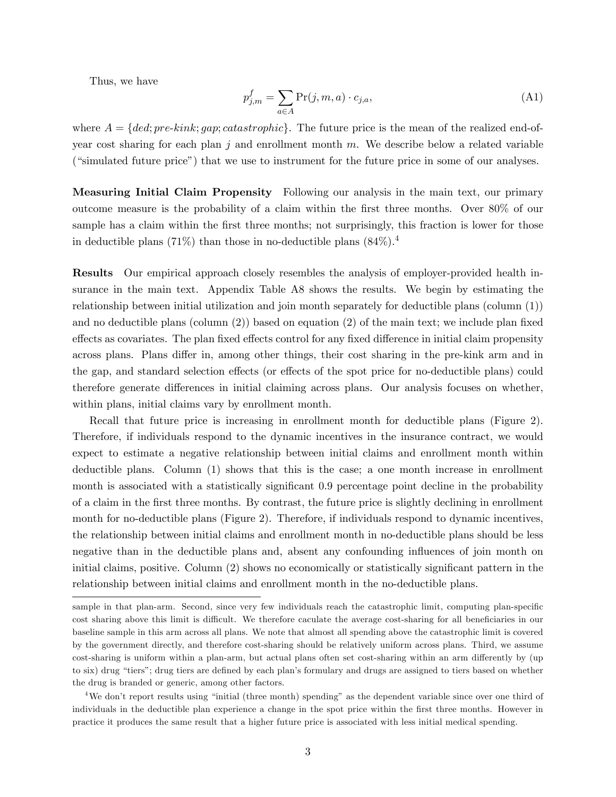Thus, we have

$$
p_{j,m}^f = \sum_{a \in A} \Pr(j, m, a) \cdot c_{j,a},\tag{A1}
$$

where  $A = \{ded; pre-kink; qap; catastrophic\}$ . The future price is the mean of the realized end-ofyear cost sharing for each plan j and enrollment month  $m$ . We describe below a related variable ("simulated future price") that we use to instrument for the future price in some of our analyses.

Measuring Initial Claim Propensity Following our analysis in the main text, our primary outcome measure is the probability of a claim within the Örst three months. Over 80% of our sample has a claim within the first three months; not surprisingly, this fraction is lower for those in deductible plans (71%) than those in no-deductible plans  $(84\%)$ .<sup>4</sup>

Results Our empirical approach closely resembles the analysis of employer-provided health insurance in the main text. Appendix Table A8 shows the results. We begin by estimating the relationship between initial utilization and join month separately for deductible plans (column (1)) and no deductible plans (column  $(2)$ ) based on equation  $(2)$  of the main text; we include plan fixed effects as covariates. The plan fixed effects control for any fixed difference in initial claim propensity across plans. Plans differ in, among other things, their cost sharing in the pre-kink arm and in the gap, and standard selection effects (or effects of the spot price for no-deductible plans) could therefore generate differences in initial claiming across plans. Our analysis focuses on whether, within plans, initial claims vary by enrollment month.

Recall that future price is increasing in enrollment month for deductible plans (Figure 2). Therefore, if individuals respond to the dynamic incentives in the insurance contract, we would expect to estimate a negative relationship between initial claims and enrollment month within deductible plans. Column (1) shows that this is the case; a one month increase in enrollment month is associated with a statistically significant 0.9 percentage point decline in the probability of a claim in the Örst three months. By contrast, the future price is slightly declining in enrollment month for no-deductible plans (Figure 2). Therefore, if individuals respond to dynamic incentives, the relationship between initial claims and enrollment month in no-deductible plans should be less negative than in the deductible plans and, absent any confounding influences of join month on initial claims, positive. Column  $(2)$  shows no economically or statistically significant pattern in the relationship between initial claims and enrollment month in the no-deductible plans.

sample in that plan-arm. Second, since very few individuals reach the catastrophic limit, computing plan-specific cost sharing above this limit is difficult. We therefore caculate the average cost-sharing for all beneficiaries in our baseline sample in this arm across all plans. We note that almost all spending above the catastrophic limit is covered by the government directly, and therefore cost-sharing should be relatively uniform across plans. Third, we assume cost-sharing is uniform within a plan-arm, but actual plans often set cost-sharing within an arm differently by (up to six) drug "tiers"; drug tiers are defined by each plan's formulary and drugs are assigned to tiers based on whether the drug is branded or generic, among other factors.

<sup>&</sup>lt;sup>4</sup>We don't report results using "initial (three month) spending" as the dependent variable since over one third of individuals in the deductible plan experience a change in the spot price within the first three months. However in practice it produces the same result that a higher future price is associated with less initial medical spending.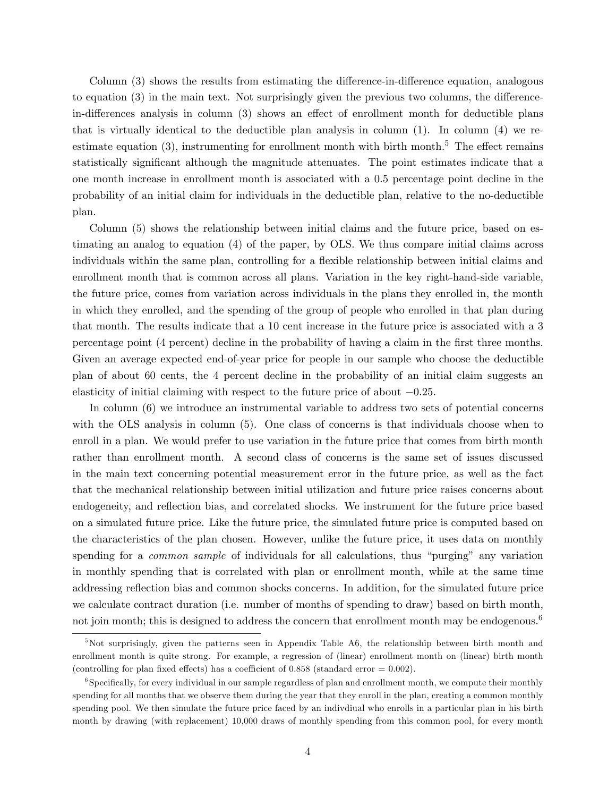Column  $(3)$  shows the results from estimating the difference-in-difference equation, analogous to equation  $(3)$  in the main text. Not surprisingly given the previous two columns, the differencein-differences analysis in column  $(3)$  shows an effect of enrollment month for deductible plans that is virtually identical to the deductible plan analysis in column (1). In column (4) we reestimate equation  $(3)$ , instrumenting for enrollment month with birth month.<sup>5</sup> The effect remains statistically significant although the magnitude attenuates. The point estimates indicate that a one month increase in enrollment month is associated with a 0.5 percentage point decline in the probability of an initial claim for individuals in the deductible plan, relative to the no-deductible plan.

Column (5) shows the relationship between initial claims and the future price, based on estimating an analog to equation (4) of the paper, by OLS. We thus compare initial claims across individuals within the same plan, controlling for a flexible relationship between initial claims and enrollment month that is common across all plans. Variation in the key right-hand-side variable, the future price, comes from variation across individuals in the plans they enrolled in, the month in which they enrolled, and the spending of the group of people who enrolled in that plan during that month. The results indicate that a 10 cent increase in the future price is associated with a 3 percentage point (4 percent) decline in the probability of having a claim in the Örst three months. Given an average expected end-of-year price for people in our sample who choose the deductible plan of about 60 cents, the 4 percent decline in the probability of an initial claim suggests an elasticity of initial claiming with respect to the future price of about  $-0.25$ .

In column (6) we introduce an instrumental variable to address two sets of potential concerns with the OLS analysis in column  $(5)$ . One class of concerns is that individuals choose when to enroll in a plan. We would prefer to use variation in the future price that comes from birth month rather than enrollment month. A second class of concerns is the same set of issues discussed in the main text concerning potential measurement error in the future price, as well as the fact that the mechanical relationship between initial utilization and future price raises concerns about endogeneity, and reflection bias, and correlated shocks. We instrument for the future price based on a simulated future price. Like the future price, the simulated future price is computed based on the characteristics of the plan chosen. However, unlike the future price, it uses data on monthly spending for a *common sample* of individuals for all calculations, thus "purging" any variation in monthly spending that is correlated with plan or enrollment month, while at the same time addressing reflection bias and common shocks concerns. In addition, for the simulated future price we calculate contract duration (i.e. number of months of spending to draw) based on birth month, not join month; this is designed to address the concern that enrollment month may be endogenous.<sup>6</sup>

<sup>&</sup>lt;sup>5</sup>Not surprisingly, given the patterns seen in Appendix Table A6, the relationship between birth month and enrollment month is quite strong. For example, a regression of (linear) enrollment month on (linear) birth month (controlling for plan fixed effects) has a coefficient of 0.858 (standard error =  $0.002$ ).

<sup>&</sup>lt;sup>6</sup>Specifically, for every individual in our sample regardless of plan and enrollment month, we compute their monthly spending for all months that we observe them during the year that they enroll in the plan, creating a common monthly spending pool. We then simulate the future price faced by an indivdiual who enrolls in a particular plan in his birth month by drawing (with replacement) 10,000 draws of monthly spending from this common pool, for every month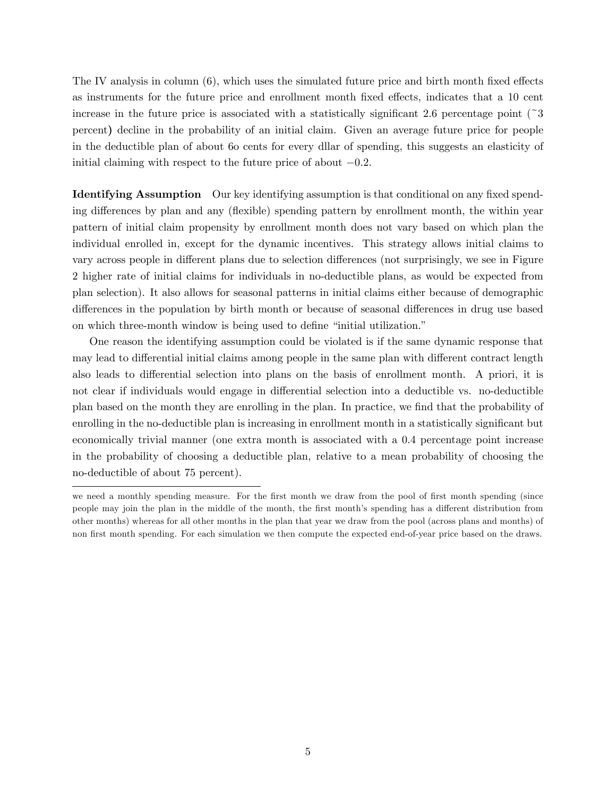The IV analysis in column  $(6)$ , which uses the simulated future price and birth month fixed effects as instruments for the future price and enrollment month fixed effects, indicates that a 10 cent increase in the future price is associated with a statistically significant 2.6 percentage point  $\binom{3}{3}$ percent) decline in the probability of an initial claim. Given an average future price for people in the deductible plan of about 6o cents for every dllar of spending, this suggests an elasticity of initial claiming with respect to the future price of about  $-0.2$ .

**Identifying Assumption** Our key identifying assumption is that conditional on any fixed spending differences by plan and any (flexible) spending pattern by enrollment month, the within year pattern of initial claim propensity by enrollment month does not vary based on which plan the individual enrolled in, except for the dynamic incentives. This strategy allows initial claims to vary across people in different plans due to selection differences (not surprisingly, we see in Figure 2 higher rate of initial claims for individuals in no-deductible plans, as would be expected from plan selection). It also allows for seasonal patterns in initial claims either because of demographic differences in the population by birth month or because of seasonal differences in drug use based on which three-month window is being used to define "initial utilization."

One reason the identifying assumption could be violated is if the same dynamic response that may lead to differential initial claims among people in the same plan with different contract length also leads to differential selection into plans on the basis of enrollment month. A priori, it is not clear if individuals would engage in differential selection into a deductible vs. no-deductible plan based on the month they are enrolling in the plan. In practice, we find that the probability of enrolling in the no-deductible plan is increasing in enrollment month in a statistically significant but economically trivial manner (one extra month is associated with a 0.4 percentage point increase in the probability of choosing a deductible plan, relative to a mean probability of choosing the no-deductible of about 75 percent).

we need a monthly spending measure. For the first month we draw from the pool of first month spending (since people may join the plan in the middle of the month, the first month's spending has a different distribution from other months) whereas for all other months in the plan that year we draw from the pool (across plans and months) of non first month spending. For each simulation we then compute the expected end-of-year price based on the draws.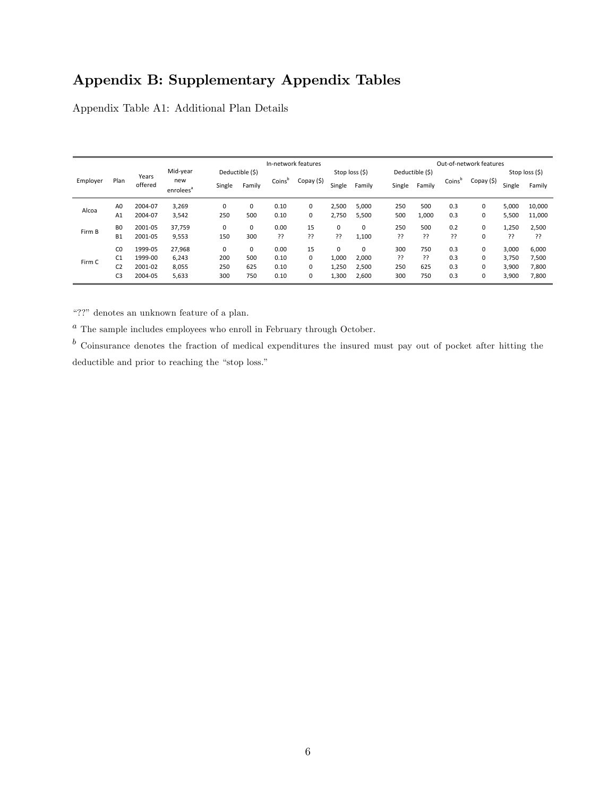# Appendix B: Supplementary Appendix Tables

Appendix Table A1: Additional Plan Details

|          |                |         |                              |                 |        |                    | In-network features |        |                |        |                 |        | Out-of-network features |        |                |
|----------|----------------|---------|------------------------------|-----------------|--------|--------------------|---------------------|--------|----------------|--------|-----------------|--------|-------------------------|--------|----------------|
|          |                | Years   | Mid-year                     | Deductible (\$) |        |                    |                     |        | Stop loss (\$) |        | Deductible (\$) |        |                         |        | Stop loss (\$) |
| Employer | Plan           | offered | new<br>enrolees <sup>a</sup> | Single          | Family | Coins <sup>"</sup> | Copay (\$)          | Single | Family         | Single | Family          | Coinsb | Copay (\$)              | Single | Family         |
| Alcoa    | A <sub>0</sub> | 2004-07 | 3,269                        | 0               | 0      | 0.10               | 0                   | 2.500  | 5,000          | 250    | 500             | 0.3    | 0                       | 5,000  | 10,000         |
|          | A1             | 2004-07 | 3,542                        | 250             | 500    | 0.10               | 0                   | 2,750  | 5,500          | 500    | 1,000           | 0.3    | 0                       | 5,500  | 11,000         |
| Firm B   | B <sub>0</sub> | 2001-05 | 37,759                       | 0               | 0      | 0.00               | 15                  | 0      | 0              | 250    | 500             | 0.2    | 0                       | 1,250  | 2,500          |
|          | <b>B1</b>      | 2001-05 | 9,553                        | 150             | 300    | ??                 | ??                  | ??     | 1,100          | ??     | 55              | 55     | 0                       | 33     | ??             |
|          | CO             | 1999-05 | 27,968                       | 0               | 0      | 0.00               | 15                  | 0      | 0              | 300    | 750             | 0.3    | 0                       | 3,000  | 6,000          |
| Firm C   | C <sub>1</sub> | 1999-00 | 6,243                        | 200             | 500    | 0.10               | 0                   | 1.000  | 2.000          | 55     | 55              | 0.3    | 0                       | 3,750  | 7,500          |
|          | C <sub>2</sub> | 2001-02 | 8,055                        | 250             | 625    | 0.10               | $\Omega$            | 1,250  | 2,500          | 250    | 625             | 0.3    | 0                       | 3,900  | 7,800          |
|          | C <sub>3</sub> | 2004-05 | 5,633                        | 300             | 750    | 0.10               | 0                   | 1,300  | 2,600          | 300    | 750             | 0.3    | 0                       | 3,900  | 7,800          |

ì??î denotes an unknown feature of a plan.

 $a$  The sample includes employees who enroll in February through October.

 $<sup>b</sup>$  Coinsurance denotes the fraction of medical expenditures the insured must pay out of pocket after hitting the</sup> deductible and prior to reaching the "stop loss."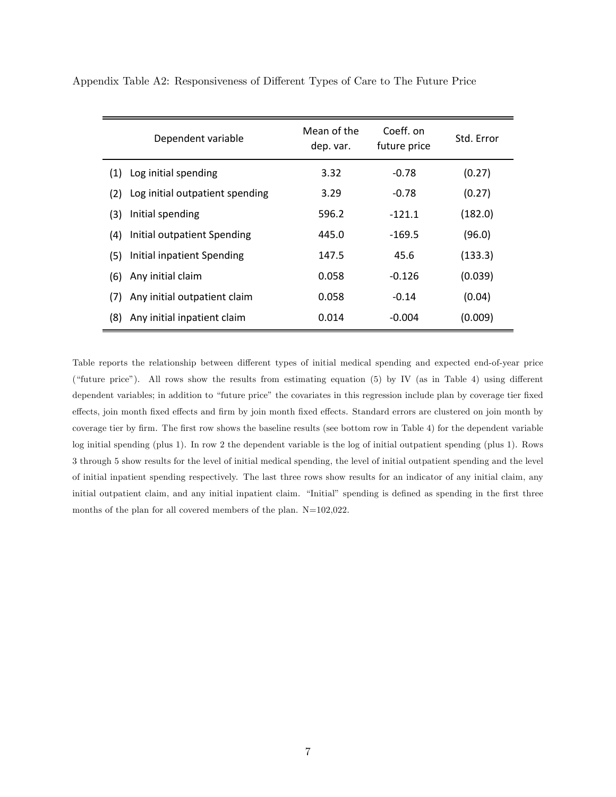| Dependent variable                     | Mean of the<br>dep. var. | Coeff. on<br>future price | Std. Error |
|----------------------------------------|--------------------------|---------------------------|------------|
| Log initial spending<br>(1)            | 3.32                     | $-0.78$                   | (0.27)     |
| Log initial outpatient spending<br>(2) | 3.29                     | $-0.78$                   | (0.27)     |
| Initial spending<br>(3)                | 596.2                    | $-121.1$                  | (182.0)    |
| Initial outpatient Spending<br>(4)     | 445.0                    | $-169.5$                  | (96.0)     |
| Initial inpatient Spending<br>(5)      | 147.5                    | 45.6                      | (133.3)    |
| Any initial claim<br>(6)               | 0.058                    | $-0.126$                  | (0.039)    |
| Any initial outpatient claim<br>(7)    | 0.058                    | $-0.14$                   | (0.04)     |
| Any initial inpatient claim<br>(8)     | 0.014                    | $-0.004$                  | (0.009)    |

Appendix Table A2: Responsiveness of Different Types of Care to The Future Price

Table reports the relationship between different types of initial medical spending and expected end-of-year price ("future price"). All rows show the results from estimating equation  $(5)$  by IV (as in Table 4) using different dependent variables; in addition to "future price" the covariates in this regression include plan by coverage tier fixed effects, join month fixed effects and firm by join month fixed effects. Standard errors are clustered on join month by coverage tier by firm. The first row shows the baseline results (see bottom row in Table 4) for the dependent variable log initial spending (plus 1). In row 2 the dependent variable is the log of initial outpatient spending (plus 1). Rows 3 through 5 show results for the level of initial medical spending, the level of initial outpatient spending and the level of initial inpatient spending respectively. The last three rows show results for an indicator of any initial claim, any initial outpatient claim, and any initial inpatient claim. "Initial" spending is defined as spending in the first three months of the plan for all covered members of the plan. N=102,022.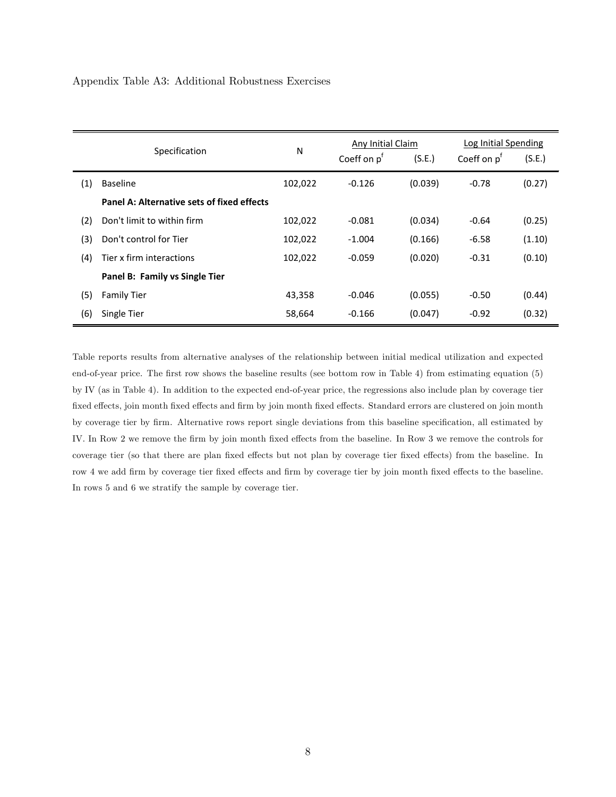#### Appendix Table A3: Additional Robustness Exercises

|     |                                            |         | Any Initial Claim |         | Log Initial Spending   |        |
|-----|--------------------------------------------|---------|-------------------|---------|------------------------|--------|
|     | Specification                              | N       | Coeff on $p^T$    | (S.E.)  | Coeff on $p^{\dagger}$ | (S.E.) |
| (1) | <b>Baseline</b>                            | 102,022 | $-0.126$          | (0.039) | $-0.78$                | (0.27) |
|     | Panel A: Alternative sets of fixed effects |         |                   |         |                        |        |
| (2) | Don't limit to within firm                 | 102,022 | $-0.081$          | (0.034) | $-0.64$                | (0.25) |
| (3) | Don't control for Tier                     | 102,022 | $-1.004$          | (0.166) | $-6.58$                | (1.10) |
| (4) | Tier x firm interactions                   | 102,022 | $-0.059$          | (0.020) | $-0.31$                | (0.10) |
|     | Panel B: Family vs Single Tier             |         |                   |         |                        |        |
| (5) | <b>Family Tier</b>                         | 43,358  | $-0.046$          | (0.055) | $-0.50$                | (0.44) |
| (6) | Single Tier                                | 58,664  | $-0.166$          | (0.047) | $-0.92$                | (0.32) |

Table reports results from alternative analyses of the relationship between initial medical utilization and expected end-of-year price. The first row shows the baseline results (see bottom row in Table 4) from estimating equation (5) by IV (as in Table 4). In addition to the expected end-of-year price, the regressions also include plan by coverage tier fixed effects, join month fixed effects and firm by join month fixed effects. Standard errors are clustered on join month by coverage tier by firm. Alternative rows report single deviations from this baseline specification, all estimated by IV. In Row 2 we remove the firm by join month fixed effects from the baseline. In Row 3 we remove the controls for coverage tier (so that there are plan fixed effects but not plan by coverage tier fixed effects) from the baseline. In row 4 we add firm by coverage tier fixed effects and firm by coverage tier by join month fixed effects to the baseline. In rows 5 and 6 we stratify the sample by coverage tier.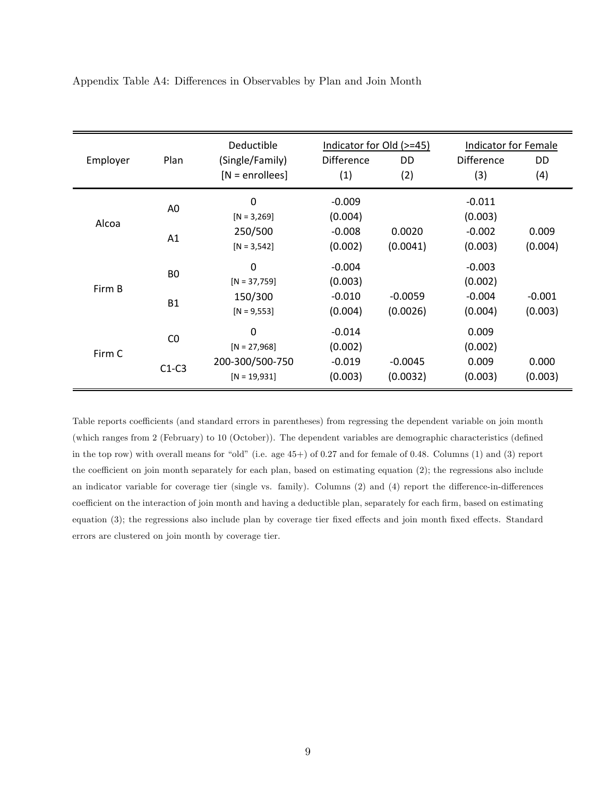|          |                | Deductible        | Indicator for Old (>=45) |           | Indicator for Female |          |
|----------|----------------|-------------------|--------------------------|-----------|----------------------|----------|
| Employer | Plan           | (Single/Family)   | <b>Difference</b>        | DD        | <b>Difference</b>    | DD.      |
|          |                | $[N = enrollees]$ | (1)                      | (2)       | (3)                  | (4)      |
|          | A <sub>0</sub> | 0                 | $-0.009$                 |           | $-0.011$             |          |
| Alcoa    |                | $[N = 3,269]$     | (0.004)                  |           | (0.003)              |          |
|          | A1             | 250/500           | $-0.008$                 | 0.0020    | $-0.002$             | 0.009    |
|          |                | $[N = 3, 542]$    | (0.002)                  | (0.0041)  | (0.003)              | (0.004)  |
|          | B <sub>0</sub> | 0                 | $-0.004$                 |           | $-0.003$             |          |
| Firm B   |                | $[N = 37,759]$    | (0.003)                  |           | (0.002)              |          |
|          | <b>B1</b>      | 150/300           | $-0.010$                 | $-0.0059$ | $-0.004$             | $-0.001$ |
|          |                | $[N = 9, 553]$    | (0.004)                  | (0.0026)  | (0.004)              | (0.003)  |
|          | CO             | 0                 | $-0.014$                 |           | 0.009                |          |
| Firm C   |                | $[N = 27,968]$    | (0.002)                  |           | (0.002)              |          |
|          | $C1-C3$        | 200-300/500-750   | $-0.019$                 | $-0.0045$ | 0.009                | 0.000    |
|          |                | $[N = 19,931]$    | (0.003)                  | (0.0032)  | (0.003)              | (0.003)  |

Appendix Table A4: Differences in Observables by Plan and Join Month

Table reports coefficients (and standard errors in parentheses) from regressing the dependent variable on join month (which ranges from 2 (February) to 10 (October)). The dependent variables are demographic characteristics (defined in the top row) with overall means for "old" (i.e. age  $45+)$  of 0.27 and for female of 0.48. Columns (1) and (3) report the coefficient on join month separately for each plan, based on estimating equation  $(2)$ ; the regressions also include an indicator variable for coverage tier (single vs. family). Columns (2) and (4) report the difference-in-differences coefficient on the interaction of join month and having a deductible plan, separately for each firm, based on estimating equation (3); the regressions also include plan by coverage tier fixed effects and join month fixed effects. Standard errors are clustered on join month by coverage tier.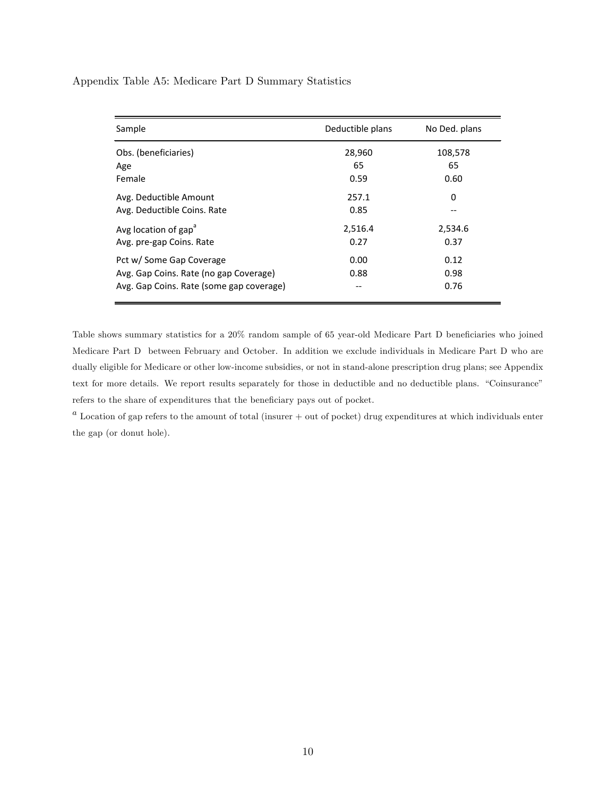Appendix Table A5: Medicare Part D Summary Statistics

| Sample                                   | Deductible plans | No Ded. plans |
|------------------------------------------|------------------|---------------|
| Obs. (beneficiaries)                     | 28,960           | 108,578       |
| Age                                      | 65               | 65            |
| Female                                   | 0.59             | 0.60          |
| Avg. Deductible Amount                   | 257.1            | 0             |
| Avg. Deductible Coins. Rate              | 0.85             |               |
| Avg location of gap <sup>a</sup>         | 2,516.4          | 2,534.6       |
| Avg. pre-gap Coins. Rate                 | 0.27             | 0.37          |
| Pct w/ Some Gap Coverage                 | 0.00             | 0.12          |
| Avg. Gap Coins. Rate (no gap Coverage)   | 0.88             | 0.98          |
| Avg. Gap Coins. Rate (some gap coverage) | --               | 0.76          |

Table shows summary statistics for a 20% random sample of 65 year-old Medicare Part D beneficiaries who joined Medicare Part D between February and October. In addition we exclude individuals in Medicare Part D who are dually eligible for Medicare or other low-income subsidies, or not in stand-alone prescription drug plans; see Appendix text for more details. We report results separately for those in deductible and no deductible plans. "Coinsurance" refers to the share of expenditures that the beneficiary pays out of pocket.

 $a$  Location of gap refers to the amount of total (insurer  $+$  out of pocket) drug expenditures at which individuals enter the gap (or donut hole).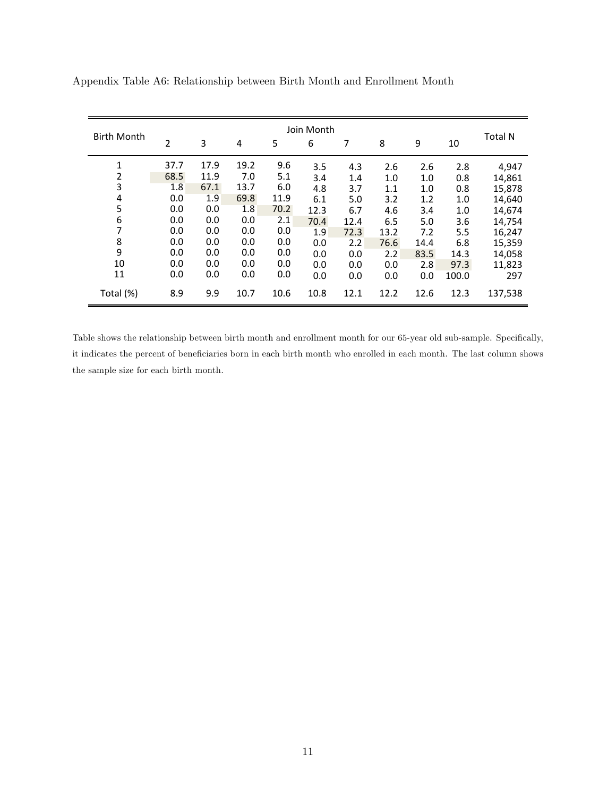| <b>Birth Month</b> | Join Month |      |      |      |      |      |      |      | <b>Total N</b> |         |
|--------------------|------------|------|------|------|------|------|------|------|----------------|---------|
|                    | 2          | 3    | 4    | 5    | 6    | 7    | 8    | 9    | 10             |         |
| $\mathbf{1}$       | 37.7       | 17.9 | 19.2 | 9.6  | 3.5  | 4.3  | 2.6  | 2.6  | 2.8            | 4,947   |
| 2                  | 68.5       | 11.9 | 7.0  | 5.1  | 3.4  | 1.4  | 1.0  | 1.0  | 0.8            | 14,861  |
| 3                  | 1.8        | 67.1 | 13.7 | 6.0  | 4.8  | 3.7  | 1.1  | 1.0  | 0.8            | 15,878  |
| 4                  | 0.0        | 1.9  | 69.8 | 11.9 | 6.1  | 5.0  | 3.2  | 1.2  | 1.0            | 14,640  |
| 5                  | 0.0        | 0.0  | 1.8  | 70.2 | 12.3 | 6.7  | 4.6  | 3.4  | 1.0            | 14,674  |
| 6                  | 0.0        | 0.0  | 0.0  | 2.1  | 70.4 | 12.4 | 6.5  | 5.0  | 3.6            | 14,754  |
| 7                  | 0.0        | 0.0  | 0.0  | 0.0  | 1.9  | 72.3 | 13.2 | 7.2  | 5.5            | 16,247  |
| 8                  | 0.0        | 0.0  | 0.0  | 0.0  | 0.0  | 2.2  | 76.6 | 14.4 | 6.8            | 15,359  |
| 9                  | 0.0        | 0.0  | 0.0  | 0.0  | 0.0  | 0.0  | 2.2  | 83.5 | 14.3           | 14,058  |
| 10                 | 0.0        | 0.0  | 0.0  | 0.0  | 0.0  | 0.0  | 0.0  | 2.8  | 97.3           | 11,823  |
| 11                 | 0.0        | 0.0  | 0.0  | 0.0  | 0.0  | 0.0  | 0.0  | 0.0  | 100.0          | 297     |
| Total (%)          | 8.9        | 9.9  | 10.7 | 10.6 | 10.8 | 12.1 | 12.2 | 12.6 | 12.3           | 137,538 |

Appendix Table A6: Relationship between Birth Month and Enrollment Month

Table shows the relationship between birth month and enrollment month for our 65-year old sub-sample. Specifically, it indicates the percent of beneficiaries born in each birth month who enrolled in each month. The last column shows the sample size for each birth month.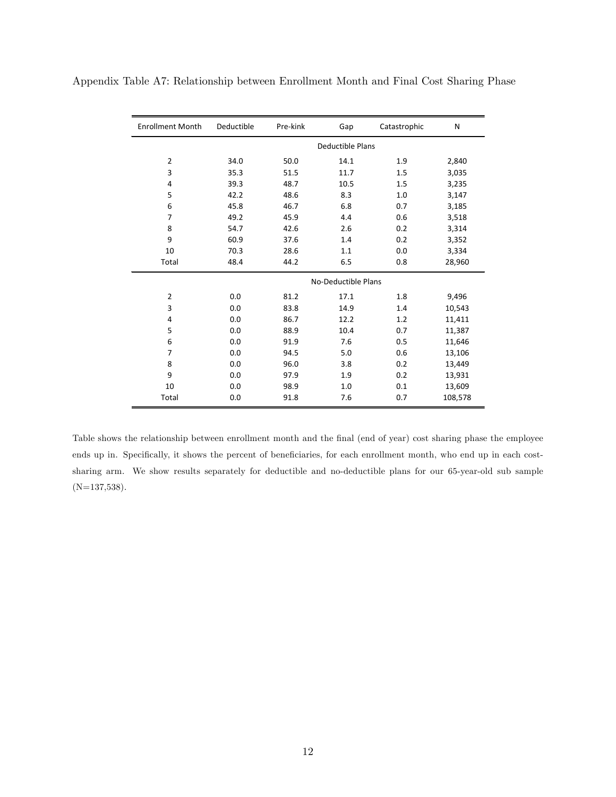| <b>Enrollment Month</b> | Deductible | Pre-kink | Gap                     | Catastrophic | N       |
|-------------------------|------------|----------|-------------------------|--------------|---------|
|                         |            |          | <b>Deductible Plans</b> |              |         |
| $\overline{2}$          | 34.0       | 50.0     | 14.1                    | 1.9          | 2,840   |
| 3                       | 35.3       | 51.5     | 11.7                    | 1.5          | 3,035   |
| 4                       | 39.3       | 48.7     | 10.5                    | 1.5          | 3,235   |
| 5                       | 42.2       | 48.6     | 8.3                     | 1.0          | 3,147   |
| 6                       | 45.8       | 46.7     | 6.8                     | 0.7          | 3,185   |
| $\overline{7}$          | 49.2       | 45.9     | 4.4                     | 0.6          | 3,518   |
| 8                       | 54.7       | 42.6     | 2.6                     | 0.2          | 3,314   |
| 9                       | 60.9       | 37.6     | 1.4                     | 0.2          | 3,352   |
| 10                      | 70.3       | 28.6     | 1.1                     | 0.0          | 3,334   |
| Total                   | 48.4       | 44.2     | 6.5                     | 0.8          | 28,960  |
|                         |            |          | No-Deductible Plans     |              |         |
| $\overline{2}$          | 0.0        | 81.2     | 17.1                    | 1.8          | 9,496   |
| 3                       | 0.0        | 83.8     | 14.9                    | 1.4          | 10,543  |
| 4                       | 0.0        | 86.7     | 12.2                    | 1.2          | 11,411  |
| 5                       | 0.0        | 88.9     | 10.4                    | 0.7          | 11,387  |
| 6                       | 0.0        | 91.9     | 7.6                     | 0.5          | 11,646  |
| 7                       | 0.0        | 94.5     | 5.0                     | 0.6          | 13,106  |
| 8                       | 0.0        | 96.0     | 3.8                     | 0.2          | 13,449  |
| 9                       | 0.0        | 97.9     | 1.9                     | 0.2          | 13,931  |
| 10                      | 0.0        | 98.9     | 1.0                     | 0.1          | 13,609  |
| Total                   | 0.0        | 91.8     | 7.6                     | 0.7          | 108,578 |

Appendix Table A7: Relationship between Enrollment Month and Final Cost Sharing Phase

Table shows the relationship between enrollment month and the final (end of year) cost sharing phase the employee ends up in. Specifically, it shows the percent of beneficiaries, for each enrollment month, who end up in each costsharing arm. We show results separately for deductible and no-deductible plans for our 65-year-old sub sample (N=137,538).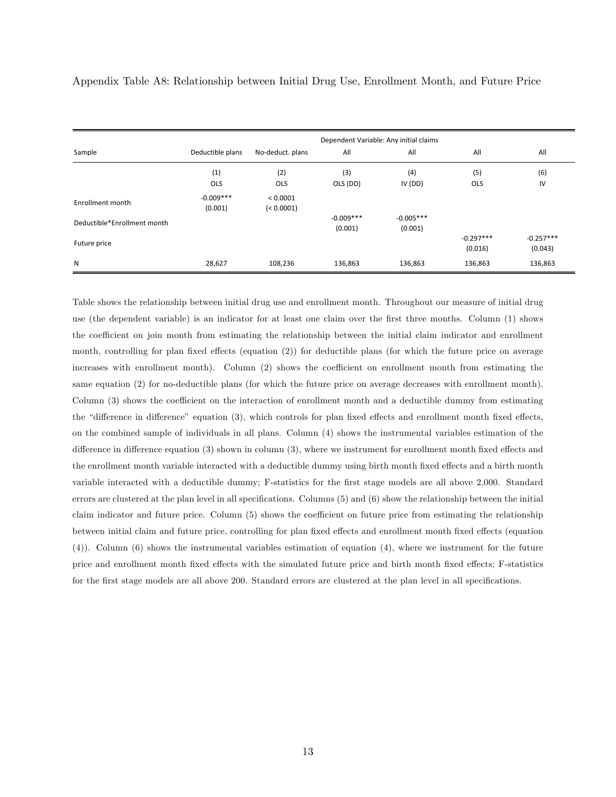|                             |                  |                  |             | Dependent Variable: Any initial claims |             |             |
|-----------------------------|------------------|------------------|-------------|----------------------------------------|-------------|-------------|
| Sample                      | Deductible plans | No-deduct. plans | All         | All                                    | All         | All         |
|                             | (1)              | (2)              | (3)         | (4)                                    | (5)         | (6)         |
|                             | OLS              | <b>OLS</b>       | OLS (DD)    | IV(DD)                                 | <b>OLS</b>  | IV          |
| Enrollment month            | $-0.009***$      | < 0.0001         |             |                                        |             |             |
|                             | (0.001)          | (< 0.0001)       |             |                                        |             |             |
| Deductible*Enrollment month |                  |                  | $-0.009***$ | $-0.005***$                            |             |             |
|                             |                  |                  | (0.001)     | (0.001)                                |             |             |
| Future price                |                  |                  |             |                                        | $-0.297***$ | $-0.257***$ |
|                             |                  |                  |             |                                        | (0.016)     | (0.043)     |
| N                           | 28,627           | 108,236          | 136,863     | 136,863                                | 136,863     | 136,863     |

Appendix Table A8: Relationship between Initial Drug Use, Enrollment Month, and Future Price

Table shows the relationship between initial drug use and enrollment month. Throughout our measure of initial drug use (the dependent variable) is an indicator for at least one claim over the Örst three months. Column (1) shows the coefficient on join month from estimating the relationship between the initial claim indicator and enrollment month, controlling for plan fixed effects (equation  $(2)$ ) for deductible plans (for which the future price on average increases with enrollment month). Column (2) shows the coefficient on enrollment month from estimating the same equation (2) for no-deductible plans (for which the future price on average decreases with enrollment month). Column  $(3)$  shows the coefficient on the interaction of enrollment month and a deductible dummy from estimating the "difference in difference" equation (3), which controls for plan fixed effects and enrollment month fixed effects, on the combined sample of individuals in all plans. Column (4) shows the instrumental variables estimation of the difference in difference equation  $(3)$  shown in column  $(3)$ , where we instrument for enrollment month fixed effects and the enrollment month variable interacted with a deductible dummy using birth month fixed effects and a birth month variable interacted with a deductible dummy; F-statistics for the first stage models are all above 2,000. Standard errors are clustered at the plan level in all specifications. Columns  $(5)$  and  $(6)$  show the relationship between the initial claim indicator and future price. Column (5) shows the coefficient on future price from estimating the relationship between initial claim and future price, controlling for plan fixed effects and enrollment month fixed effects (equation (4)). Column (6) shows the instrumental variables estimation of equation (4), where we instrument for the future price and enrollment month fixed effects with the simulated future price and birth month fixed effects; F-statistics for the first stage models are all above 200. Standard errors are clustered at the plan level in all specifications.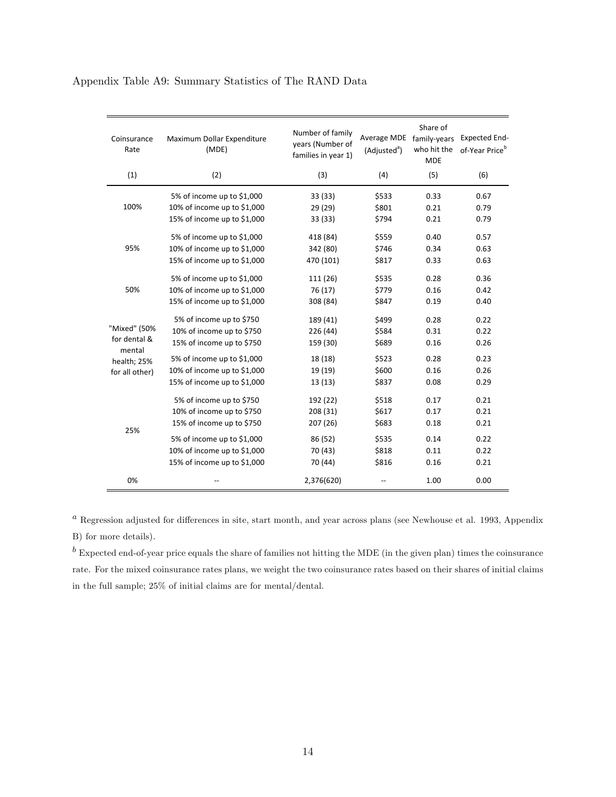| Coinsurance<br>Rate    | Maximum Dollar Expenditure<br>(MDE) | Number of family<br>years (Number of<br>families in year 1) | Average MDE family-years<br>(Adjusted <sup>a</sup> ) | Share of<br>who hit the<br><b>MDE</b> | <b>Expected End-</b><br>of-Year Price <sup>b</sup> |
|------------------------|-------------------------------------|-------------------------------------------------------------|------------------------------------------------------|---------------------------------------|----------------------------------------------------|
| (1)                    | (2)                                 | (3)                                                         | (4)                                                  | (5)                                   | (6)                                                |
|                        | 5% of income up to \$1,000          | 33 (33)                                                     | \$533                                                | 0.33                                  | 0.67                                               |
| 100%                   | 10% of income up to \$1,000         | 29 (29)                                                     | \$801                                                | 0.21                                  | 0.79                                               |
|                        | 15% of income up to \$1,000         | 33 (33)                                                     | \$794                                                | 0.21                                  | 0.79                                               |
|                        | 5% of income up to \$1,000          | 418 (84)                                                    | \$559                                                | 0.40                                  | 0.57                                               |
| 95%                    | 10% of income up to \$1,000         | 342 (80)                                                    | \$746                                                | 0.34                                  | 0.63                                               |
|                        | 15% of income up to \$1,000         | 470 (101)                                                   | \$817                                                | 0.33                                  | 0.63                                               |
|                        | 5% of income up to \$1,000          | 111 (26)                                                    | \$535                                                | 0.28                                  | 0.36                                               |
| 50%                    | 10% of income up to \$1,000         | 76 (17)                                                     | \$779                                                | 0.16                                  | 0.42                                               |
|                        | 15% of income up to \$1,000         | 308 (84)                                                    | \$847                                                | 0.19                                  | 0.40                                               |
|                        | 5% of income up to \$750            | 189 (41)                                                    | \$499                                                | 0.28                                  | 0.22                                               |
| "Mixed" (50%           | 10% of income up to \$750           | 226 (44)                                                    | \$584                                                | 0.31                                  | 0.22                                               |
| for dental &<br>mental | 15% of income up to \$750           | 159 (30)                                                    | \$689                                                | 0.16                                  | 0.26                                               |
| health; 25%            | 5% of income up to \$1,000          | 18 (18)                                                     | \$523                                                | 0.28                                  | 0.23                                               |
| for all other)         | 10% of income up to \$1,000         | 19 (19)                                                     | \$600                                                | 0.16                                  | 0.26                                               |
|                        | 15% of income up to \$1,000         | 13(13)                                                      | \$837                                                | 0.08                                  | 0.29                                               |
|                        | 5% of income up to \$750            | 192 (22)                                                    | \$518                                                | 0.17                                  | 0.21                                               |
|                        | 10% of income up to \$750           | 208 (31)                                                    | \$617                                                | 0.17                                  | 0.21                                               |
| 25%                    | 15% of income up to \$750           | 207 (26)                                                    | \$683                                                | 0.18                                  | 0.21                                               |
|                        | 5% of income up to \$1,000          | 86 (52)                                                     | \$535                                                | 0.14                                  | 0.22                                               |
|                        | 10% of income up to \$1,000         | 70 (43)                                                     | \$818                                                | 0.11                                  | 0.22                                               |
|                        | 15% of income up to \$1,000         | 70 (44)                                                     | \$816                                                | 0.16                                  | 0.21                                               |
| 0%                     |                                     | 2,376(620)                                                  |                                                      | 1.00                                  | 0.00                                               |

## Appendix Table A9: Summary Statistics of The RAND Data

 $a$  Regression adjusted for differences in site, start month, and year across plans (see Newhouse et al. 1993, Appendix B) for more details).

 $<sup>b</sup>$  Expected end-of-year price equals the share of families not hitting the MDE (in the given plan) times the coinsurance</sup> rate. For the mixed coinsurance rates plans, we weight the two coinsurance rates based on their shares of initial claims in the full sample; 25% of initial claims are for mental/dental.